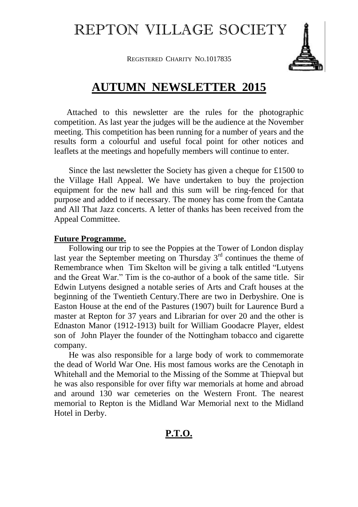## REPTON VILLAGE SOCIETY

**REGISTERED CHARITY NO.1017835** 



## **AUTUMN NEWSLETTER 2015**

 Attached to this newsletter are the rules for the photographic competition. As last year the judges will be the audience at the November meeting. This competition has been running for a number of years and the results form a colourful and useful focal point for other notices and leaflets at the meetings and hopefully members will continue to enter.

 Since the last newsletter the Society has given a cheque for £1500 to the Village Hall Appeal. We have undertaken to buy the projection equipment for the new hall and this sum will be ring-fenced for that purpose and added to if necessary. The money has come from the Cantata and All That Jazz concerts. A letter of thanks has been received from the Appeal Committee.

## **Future Programme.**

 Following our trip to see the Poppies at the Tower of London display last year the September meeting on Thursday  $3<sup>rd</sup>$  continues the theme of Remembrance when Tim Skelton will be giving a talk entitled "Lutyens and the Great War." Tim is the co-author of a book of the same title. Sir Edwin Lutyens designed a notable series of Arts and Craft houses at the beginning of the Twentieth Century.There are two in Derbyshire. One is Easton House at the end of the Pastures (1907) built for Laurence Burd a master at Repton for 37 years and Librarian for over 20 and the other is Ednaston Manor (1912-1913) built for William Goodacre Player, eldest son of John Player the founder of the Nottingham tobacco and cigarette company.

 He was also responsible for a large body of work to commemorate the dead of World War One. His most famous works are the Cenotaph in Whitehall and the Memorial to the Missing of the Somme at Thiepval but he was also responsible for over fifty war memorials at home and abroad and around 130 war cemeteries on the Western Front. The nearest memorial to Repton is the Midland War Memorial next to the Midland Hotel in Derby.

## **P.T.O.**